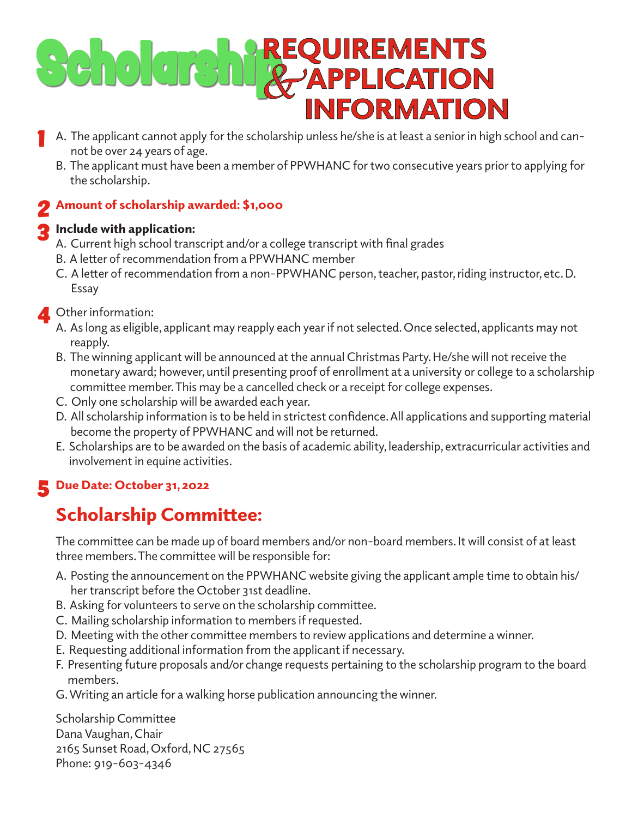# Cholene REQUIREMENTS **INFORMATION**

- A. The applicant cannot apply for the scholarship unless he/she is at least a senior in high school and cannot be over 24 years of age. **1** 
	- B. The applicant must have been a member of PPWHANC for two consecutive years prior to applying for the scholarship.

## Amount of scholarship awarded: \$1,000 2

#### Include with application: 3

- A. Current high school transcript and/or a college transcript with final grades
- B. A letter of recommendation from a PPWHANC member
- C. A letter of recommendation from a non-PPWHANC person, teacher, pastor, riding instructor, etc. D. Essay

### **4** Other information:<br>A As long as eligible

- A. As long as eligible, applicant may reapply each year if not selected. Once selected, applicants may not reapply.
- B. The winning applicant will be announced at the annual Christmas Party. He/she will not receive the monetary award; however, until presenting proof of enrollment at a university or college to a scholarship committee member. This may be a cancelled check or a receipt for college expenses.
- C. Only one scholarship will be awarded each year.
- D. All scholarship information is to be held in strictest confidence. All applications and supporting material become the property of PPWHANC and will not be returned.
- E. Scholarships are to be awarded on the basis of academic ability, leadership, extracurricular activities and involvement in equine activities.

## 5 Due Date: October 31, 2022

#### Scholarship Committee:

The committee can be made up of board members and/or non-board members. It will consist of at least three members. The committee will be responsible for:

- A. Posting the announcement on the PPWHANC website giving the applicant ample time to obtain his/ her transcript before the October 31st deadline.
- B. Asking for volunteers to serve on the scholarship committee.
- C. Mailing scholarship information to members if requested.
- D. Meeting with the other committee members to review applications and determine a winner.
- E. Requesting additional information from the applicant if necessary.
- F. Presenting future proposals and/or change requests pertaining to the scholarship program to the board members.
- G. Writing an article for a walking horse publication announcing the winner.

Scholarship Committee Dana Vaughan, Chair 2165 Sunset Road, Oxford, NC 27565 Phone: 919-603-4346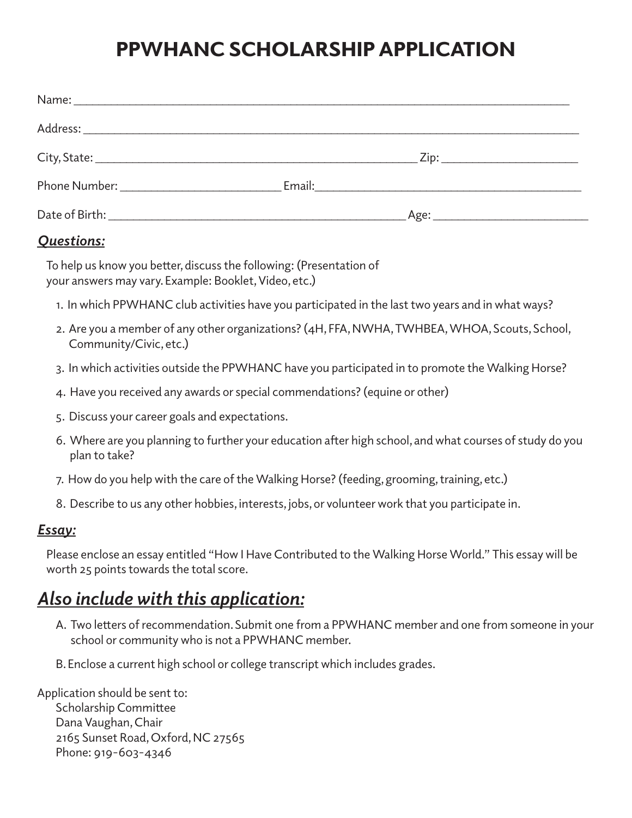### PPWHANC SCHOLARSHIP APPLICATION

|                                      | <u> Zip: ________________________</u> |
|--------------------------------------|---------------------------------------|
| Phone Number: National Phone Number: |                                       |
|                                      |                                       |

#### *Questions:*

To help us know you better, discuss the following: (Presentation of your answers may vary. Example: Booklet, Video, etc.)

- 1. In which PPWHANC club activities have you participated in the last two years and in what ways?
- 2. Are you a member of any other organizations? (4H, FFA, NWHA, TWHBEA, WHOA, Scouts, School, Community/Civic, etc.)
- 3. In which activities outside the PPWHANC have you participated in to promote the Walking Horse?
- 4. Have you received any awards or special commendations? (equine or other)
- 5. Discuss your career goals and expectations.
- 6. Where are you planning to further your education after high school, and what courses of study do you plan to take?
- 7. How do you help with the care of the Walking Horse? (feeding, grooming, training, etc.)
- 8. Describe to us any other hobbies, interests, jobs, or volunteer work that you participate in.

#### *Essay:*

Please enclose an essay entitled "How I Have Contributed to the Walking Horse World." This essay will be worth 25 points towards the total score.

#### *Also include with this application:*

- A. Two letters of recommendation. Submit one from a PPWHANC member and one from someone in your school or community who is not a PPWHANC member.
- B. Enclose a current high school or college transcript which includes grades.

Application should be sent to: Scholarship Committee Dana Vaughan, Chair 2165 Sunset Road, Oxford, NC 27565 Phone: 919-603-4346